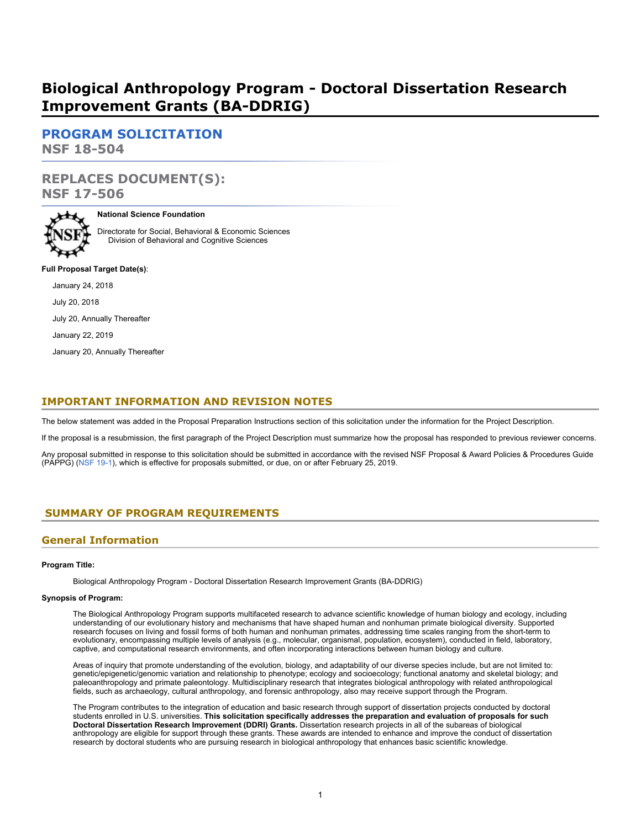# **Biological Anthropology Program - Doctoral Dissertation Research Improvement Grants (BA-DDRIG)**

**[PROGRAM SOLICITATION](#page-2-0) NSF 18-504**

# **REPLACES DOCUMENT(S): NSF 17-506**

#### **National Science Foundation**

Directorate for Social, Behavioral & Economic Sciences Division of Behavioral and Cognitive Sciences

#### **Full Proposal Target Date(s)**:

 January 24, 2018 July 20, 2018 July 20, Annually Thereafter January 22, 2019 January 20, Annually Thereafter

### **IMPORTANT INFORMATION AND REVISION NOTES**

The below statement was added in the Proposal Preparation Instructions section of this solicitation under the information for the Project Description.

If the proposal is a resubmission, the first paragraph of the Project Description must summarize how the proposal has responded to previous reviewer concerns.

Any proposal submitted in response to this solicitation should be submitted in accordance with the revised NSF Proposal & Award Policies & Procedures Guide (PAPPG) [\(NSF 19-1](https://www.nsf.gov/publications/pub_summ.jsp?ods_key=nsf19001)), which is effective for proposals submitted, or due, on or after February 25, 2019.

# <span id="page-0-0"></span> **SUMMARY OF PROGRAM REQUIREMENTS**

# **General Information**

#### **Program Title:**

Biological Anthropology Program - Doctoral Dissertation Research Improvement Grants (BA-DDRIG)

#### **Synopsis of Program:**

The Biological Anthropology Program supports multifaceted research to advance scientific knowledge of human biology and ecology, including understanding of our evolutionary history and mechanisms that have shaped human and nonhuman primate biological diversity. Supported research focuses on living and fossil forms of both human and nonhuman primates, addressing time scales ranging from the short-term to evolutionary, encompassing multiple levels of analysis (e.g., molecular, organismal, population, ecosystem), conducted in field, laboratory, captive, and computational research environments, and often incorporating interactions between human biology and culture.

Areas of inquiry that promote understanding of the evolution, biology, and adaptability of our diverse species include, but are not limited to: genetic/epigenetic/genomic variation and relationship to phenotype; ecology and socioecology; functional anatomy and skeletal biology; and paleoanthropology and primate paleontology. Multidisciplinary research that integrates biological anthropology with related anthropological fields, such as archaeology, cultural anthropology, and forensic anthropology, also may receive support through the Program.

The Program contributes to the integration of education and basic research through support of dissertation projects conducted by doctoral students enrolled in U.S. universities. **This solicitation specifically addresses the preparation and evaluation of proposals for such Doctoral Dissertation Research Improvement (DDRI) Grants.** Dissertation research projects in all of the subareas of biological anthropology are eligible for support through these grants. These awards are intended to enhance and improve the conduct of dissertation research by doctoral students who are pursuing research in biological anthropology that enhances basic scientific knowledge.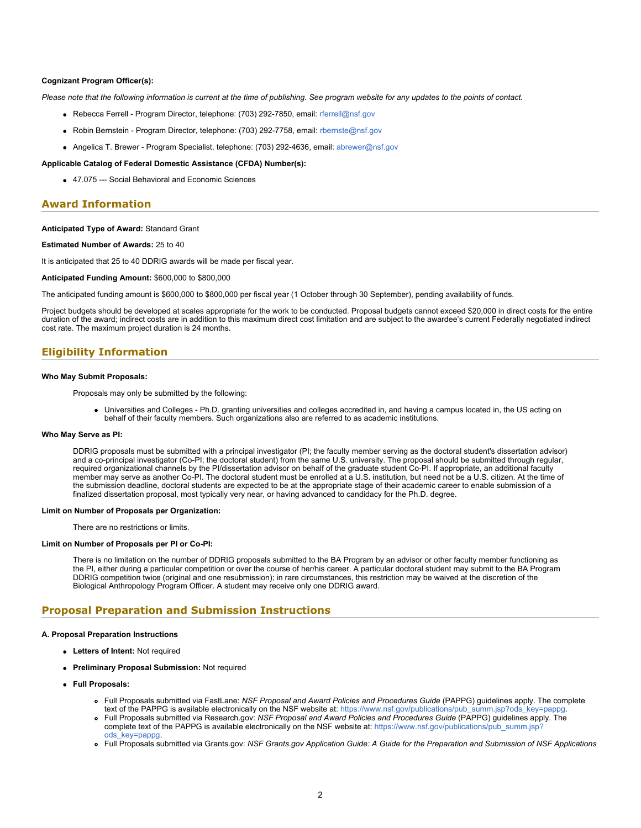#### **Cognizant Program Officer(s):**

*Please note that the following information is current at the time of publishing. See program website for any updates to the points of contact.*

- Rebecca Ferrell Program Director, telephone: (703) 292-7850, email: [rferrell@nsf.gov](mailto:rferrell@nsf.gov)
- Robin Bernstein Program Director, telephone: (703) 292-7758, email: [rbernste@nsf.gov](mailto:rbernste@nsf.gov)
- Angelica T. Brewer Program Specialist, telephone: (703) 292-4636, email: [abrewer@nsf.gov](mailto:abrewer@nsf.gov)

#### **Applicable Catalog of Federal Domestic Assistance (CFDA) Number(s):**

47.075 --- Social Behavioral and Economic Sciences

### **Award Information**

#### **Anticipated Type of Award:** Standard Grant

#### **Estimated Number of Awards:** 25 to 40

It is anticipated that 25 to 40 DDRIG awards will be made per fiscal year.

**Anticipated Funding Amount:** \$600,000 to \$800,000

The anticipated funding amount is \$600,000 to \$800,000 per fiscal year (1 October through 30 September), pending availability of funds.

Project budgets should be developed at scales appropriate for the work to be conducted. Proposal budgets cannot exceed \$20,000 in direct costs for the entire duration of the award; indirect costs are in addition to this maximum direct cost limitation and are subject to the awardee's current Federally negotiated indirect cost rate. The maximum project duration is 24 months.

### **Eligibility Information**

#### **Who May Submit Proposals:**

Proposals may only be submitted by the following:

Universities and Colleges - Ph.D. granting universities and colleges accredited in, and having a campus located in, the US acting on behalf of their faculty members. Such organizations also are referred to as academic institutions.

#### **Who May Serve as PI:**

DDRIG proposals must be submitted with a principal investigator (PI; the faculty member serving as the doctoral student's dissertation advisor) and a co-principal investigator (Co-PI; the doctoral student) from the same U.S. university. The proposal should be submitted through regular, required organizational channels by the PI/dissertation advisor on behalf of the graduate student Co-PI. If appropriate, an additional faculty member may serve as another Co-PI. The doctoral student must be enrolled at a U.S. institution, but need not be a U.S. citizen. At the time of the submission deadline, doctoral students are expected to be at the appropriate stage of their academic career to enable submission of a finalized dissertation proposal, most typically very near, or having advanced to candidacy for the Ph.D. degree.

#### **Limit on Number of Proposals per Organization:**

There are no restrictions or limits.

#### **Limit on Number of Proposals per PI or Co-PI:**

There is no limitation on the number of DDRIG proposals submitted to the BA Program by an advisor or other faculty member functioning as the PI, either during a particular competition or over the course of her/his career. A particular doctoral student may submit to the BA Program DDRIG competition twice (original and one resubmission); in rare circumstances, this restriction may be waived at the discretion of the Biological Anthropology Program Officer. A student may receive only one DDRIG award.

### **Proposal Preparation and Submission Instructions**

#### **A. Proposal Preparation Instructions**

- **Letters of Intent:** Not required
- **Preliminary Proposal Submission:** Not required
- **Full Proposals:**
	- Full Proposals submitted via FastLane: *NSF Proposal and Award Policies and Procedures Guide* (PAPPG) guidelines apply. The complete text of the PAPPG is available electronically on the NSF website at: [https://www.nsf.gov/publications/pub\\_summ.jsp?ods\\_key=pappg](https://www.nsf.gov/publications/pub_summ.jsp?ods_key=pappg).
	- Full Proposals submitted via Research.gov: *NSF Proposal and Award Policies and Procedures Guide* (PAPPG) guidelines apply. The complete text of the PAPPG is available electronically on the NSF website at: [https://www.nsf.gov/publications/pub\\_summ.jsp?](https://www.nsf.gov/publications/pub_summ.jsp?ods_key=pappg) [ods\\_key=pappg.](https://www.nsf.gov/publications/pub_summ.jsp?ods_key=pappg)
	- Full Proposals submitted via Grants.gov: *NSF Grants.gov Application Guide: A Guide for the Preparation and Submission of NSF Applications*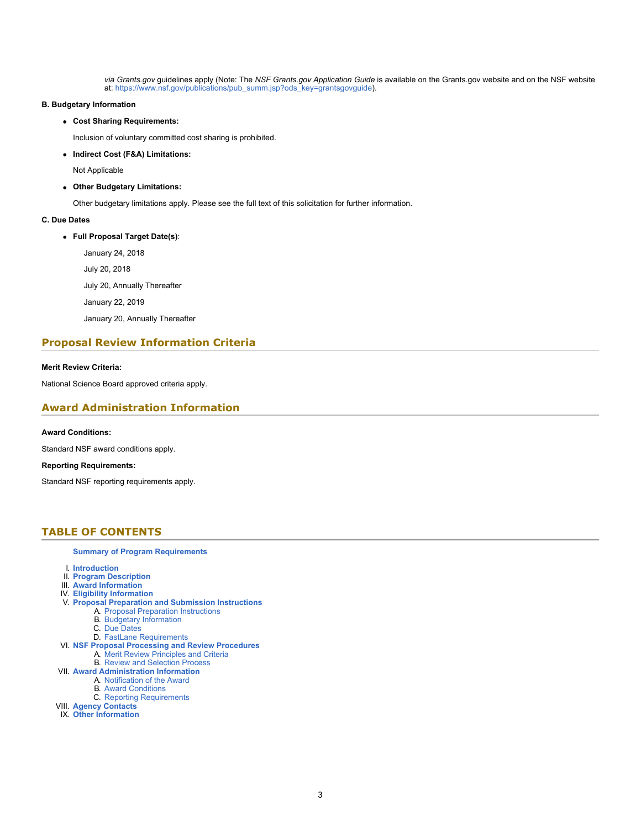*via Grants.gov* guidelines apply (Note: The *NSF Grants.gov Application Guide* is available on the Grants.gov website and on the NSF website at: [https://www.nsf.gov/publications/pub\\_summ.jsp?ods\\_key=grantsgovguide](https://www.nsf.gov/publications/pub_summ.jsp?ods_key=grantsgovguide)).

#### **B. Budgetary Information**

#### **Cost Sharing Requirements:**

Inclusion of voluntary committed cost sharing is prohibited.

**Indirect Cost (F&A) Limitations:**

Not Applicable

**Other Budgetary Limitations:**

Other budgetary limitations apply. Please see the full text of this solicitation for further information.

#### **C. Due Dates**

**Full Proposal Target Date(s)**:

January 24, 2018

July 20, 2018

July 20, Annually Thereafter

January 22, 2019

January 20, Annually Thereafter

### **Proposal Review Information Criteria**

#### **Merit Review Criteria:**

National Science Board approved criteria apply.

### **Award Administration Information**

#### **Award Conditions:**

Standard NSF award conditions apply.

#### **Reporting Requirements:**

Standard NSF reporting requirements apply.

### <span id="page-2-0"></span>**TABLE OF CONTENTS**

#### **[Summary of Program Requirements](#page-0-0)**

- I. **[Introduction](#page-3-0)**
- II. **[Program Description](#page-3-1)**
- III. **[Award Information](#page-3-2)**
- IV. **[Eligibility Information](#page-4-0)**
- V. **[Proposal Preparation and Submission Instructions](#page-4-1)**
	- A. [Proposal Preparation Instructions](#page-4-1) B. [Budgetary Information](#page-6-0)
		- C. [Due Dates](#page-6-1)
		- D. [FastLane Requirements](#page-6-2)
- VI. **[NSF Proposal Processing and Review Procedures](#page-7-0)**
	- A. [Merit Review Principles and Criteria](#page-7-1)
		- B. [Review and Selection Process](#page-8-0)
- VII. **[Award Administration Information](#page-8-1)**
	- A. [Notification of the Award](#page-9-0)
		- B. [Award Conditions](#page-9-1)
		- C. [Reporting Requirements](#page-9-2)
- VIII. **[Agency Contacts](#page-9-3)** IX. **[Other Information](#page-10-0)**
-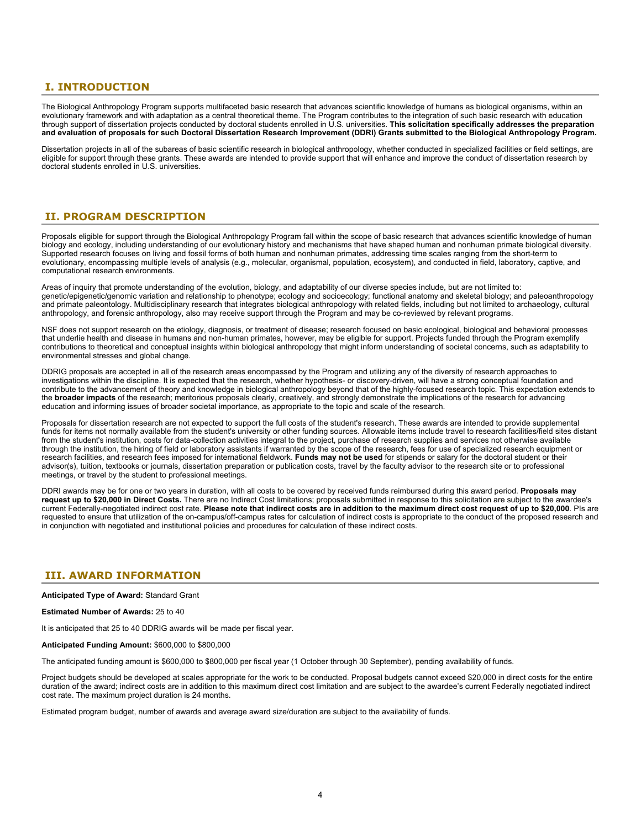# <span id="page-3-0"></span> **I. INTRODUCTION**

The Biological Anthropology Program supports multifaceted basic research that advances scientific knowledge of humans as biological organisms, within an evolutionary framework and with adaptation as a central theoretical theme. The Program contributes to the integration of such basic research with education through support of dissertation projects conducted by doctoral students enrolled in U.S. universities. **This solicitation specifically addresses the preparation and evaluation of proposals for such Doctoral Dissertation Research Improvement (DDRI) Grants submitted to the Biological Anthropology Program.**

Dissertation projects in all of the subareas of basic scientific research in biological anthropology, whether conducted in specialized facilities or field settings, are eligible for support through these grants. These awards are intended to provide support that will enhance and improve the conduct of dissertation research by doctoral students enrolled in U.S. universities.

# <span id="page-3-1"></span> **II. PROGRAM DESCRIPTION**

Proposals eligible for support through the Biological Anthropology Program fall within the scope of basic research that advances scientific knowledge of human biology and ecology, including understanding of our evolutionary history and mechanisms that have shaped human and nonhuman primate biological diversity. Supported research focuses on living and fossil forms of both human and nonhuman primates, addressing time scales ranging from the short-term to evolutionary, encompassing multiple levels of analysis (e.g., molecular, organismal, population, ecosystem), and conducted in field, laboratory, captive, and computational research environments.

Areas of inquiry that promote understanding of the evolution, biology, and adaptability of our diverse species include, but are not limited to: genetic/epigenetic/genomic variation and relationship to phenotype; ecology and socioecology; functional anatomy and skeletal biology; and paleoanthropology and primate paleontology. Multidisciplinary research that integrates biological anthropology with related fields, including but not limited to archaeology, cultural anthropology, and forensic anthropology, also may receive support through the Program and may be co-reviewed by relevant programs.

NSF does not support research on the etiology, diagnosis, or treatment of disease; research focused on basic ecological, biological and behavioral processes that underlie health and disease in humans and non-human primates, however, may be eligible for support. Projects funded through the Program exemplify contributions to theoretical and conceptual insights within biological anthropology that might inform understanding of societal concerns, such as adaptability to environmental stresses and global change.

DDRIG proposals are accepted in all of the research areas encompassed by the Program and utilizing any of the diversity of research approaches to investigations within the discipline. It is expected that the research, whether hypothesis- or discovery-driven, will have a strong conceptual foundation and contribute to the advancement of theory and knowledge in biological anthropology beyond that of the highly-focused research topic. This expectation extends to the **broader impacts** of the research; meritorious proposals clearly, creatively, and strongly demonstrate the implications of the research for advancing education and informing issues of broader societal importance, as appropriate to the topic and scale of the research.

Proposals for dissertation research are not expected to support the full costs of the student's research. These awards are intended to provide supplemental funds for items not normally available from the student's university or other funding sources. Allowable items include travel to research facilities/field sites distant from the student's institution, costs for data-collection activities integral to the project, purchase of research supplies and services not otherwise available through the institution, the hiring of field or laboratory assistants if warranted by the scope of the research, fees for use of specialized research equipment or research facilities, and research fees imposed for international fieldwork. **Funds may not be used** for stipends or salary for the doctoral student or their advisor(s), tuition, textbooks or journals, dissertation preparation or publication costs, travel by the faculty advisor to the research site or to professional meetings, or travel by the student to professional meetings.

DDRI awards may be for one or two years in duration, with all costs to be covered by received funds reimbursed during this award period. **Proposals may request up to \$20,000 in Direct Costs.** There are no Indirect Cost limitations; proposals submitted in response to this solicitation are subject to the awardee's current Federally-negotiated indirect cost rate. **Please note that indirect costs are in addition to the maximum direct cost request of up to \$20,000**. PIs are requested to ensure that utilization of the on-campus/off-campus rates for calculation of indirect costs is appropriate to the conduct of the proposed research and in conjunction with negotiated and institutional policies and procedures for calculation of these indirect costs.

### <span id="page-3-2"></span> **III. AWARD INFORMATION**

**Anticipated Type of Award:** Standard Grant

**Estimated Number of Awards:** 25 to 40

It is anticipated that 25 to 40 DDRIG awards will be made per fiscal year.

**Anticipated Funding Amount:** \$600,000 to \$800,000

The anticipated funding amount is \$600,000 to \$800,000 per fiscal year (1 October through 30 September), pending availability of funds.

Project budgets should be developed at scales appropriate for the work to be conducted. Proposal budgets cannot exceed \$20,000 in direct costs for the entire duration of the award; indirect costs are in addition to this maximum direct cost limitation and are subject to the awardee's current Federally negotiated indirect cost rate. The maximum project duration is 24 months.

Estimated program budget, number of awards and average award size/duration are subject to the availability of funds.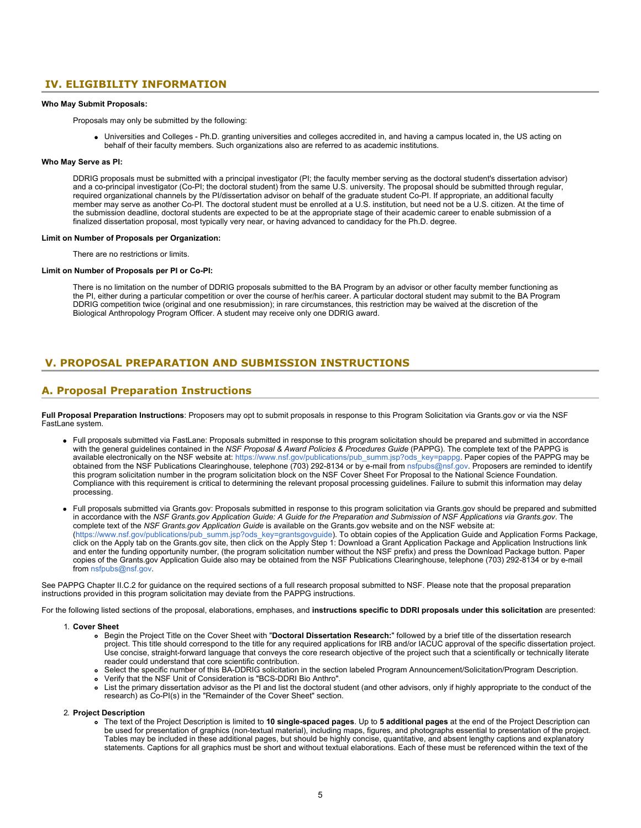### <span id="page-4-0"></span>**IV. ELIGIBILITY INFORMATION**

#### **Who May Submit Proposals:**

Proposals may only be submitted by the following:

Universities and Colleges - Ph.D. granting universities and colleges accredited in, and having a campus located in, the US acting on behalf of their faculty members. Such organizations also are referred to as academic institutions.

#### **Who May Serve as PI:**

DDRIG proposals must be submitted with a principal investigator (PI; the faculty member serving as the doctoral student's dissertation advisor) and a co-principal investigator (Co-PI; the doctoral student) from the same U.S. university. The proposal should be submitted through regular, required organizational channels by the PI/dissertation advisor on behalf of the graduate student Co-PI. If appropriate, an additional faculty member may serve as another Co-PI. The doctoral student must be enrolled at a U.S. institution, but need not be a U.S. citizen. At the time of the submission deadline, doctoral students are expected to be at the appropriate stage of their academic career to enable submission of a finalized dissertation proposal, most typically very near, or having advanced to candidacy for the Ph.D. degree.

#### **Limit on Number of Proposals per Organization:**

There are no restrictions or limits.

#### **Limit on Number of Proposals per PI or Co-PI:**

There is no limitation on the number of DDRIG proposals submitted to the BA Program by an advisor or other faculty member functioning as the PI, either during a particular competition or over the course of her/his career. A particular doctoral student may submit to the BA Program DDRIG competition twice (original and one resubmission); in rare circumstances, this restriction may be waived at the discretion of the Biological Anthropology Program Officer. A student may receive only one DDRIG award.

# <span id="page-4-1"></span> **V. PROPOSAL PREPARATION AND SUBMISSION INSTRUCTIONS**

### **A. Proposal Preparation Instructions**

**Full Proposal Preparation Instructions**: Proposers may opt to submit proposals in response to this Program Solicitation via Grants.gov or via the NSF FastLane system.

- Full proposals submitted via FastLane: Proposals submitted in response to this program solicitation should be prepared and submitted in accordance with the general guidelines contained in the *NSF Proposal & Award Policies & Procedures Guide* (PAPPG). The complete text of the PAPPG is available electronically on the NSF website at: [https://www.nsf.gov/publications/pub\\_summ.jsp?ods\\_key=pappg](https://www.nsf.gov/publications/pub_summ.jsp?ods_key=pappg). Paper copies of the PAPPG may be obtained from the NSF Publications Clearinghouse, telephone (703) 292-8134 or by e-mail from [nsfpubs@nsf.gov](mailto:nsfpubs@nsf.gov). Proposers are reminded to identify this program solicitation number in the program solicitation block on the NSF Cover Sheet For Proposal to the National Science Foundation. Compliance with this requirement is critical to determining the relevant proposal processing guidelines. Failure to submit this information may delay processing.
- Full proposals submitted via Grants.gov: Proposals submitted in response to this program solicitation via Grants.gov should be prepared and submitted in accordance with the *NSF Grants.gov Application Guide: A Guide for the Preparation and Submission of NSF Applications via Grants.gov*. The complete text of the *NSF Grants.gov Application Guide* is available on the Grants.gov website and on the NSF website at: [\(https://www.nsf.gov/publications/pub\\_summ.jsp?ods\\_key=grantsgovguide](https://www.nsf.gov/publications/pub_summ.jsp?ods_key=grantsgovguide)). To obtain copies of the Application Guide and Application Forms Package, click on the Apply tab on the Grants.gov site, then click on the Apply Step 1: Download a Grant Application Package and Application Instructions link and enter the funding opportunity number, (the program solicitation number without the NSF prefix) and press the Download Package button. Paper copies of the Grants.gov Application Guide also may be obtained from the NSF Publications Clearinghouse, telephone (703) 292-8134 or by e-mail from [nsfpubs@nsf.gov](mailto:nsfpubs@nsf.gov).

See PAPPG Chapter II.C.2 for guidance on the required sections of a full research proposal submitted to NSF. Please note that the proposal preparation instructions provided in this program solicitation may deviate from the PAPPG instructions.

For the following listed sections of the proposal, elaborations, emphases, and **instructions specific to DDRI proposals under this solicitation** are presented:

#### 1. **Cover Sheet**

- Begin the Project Title on the Cover Sheet with "**Doctoral Dissertation Research:**" followed by a brief title of the dissertation research project. This title should correspond to the title for any required applications for IRB and/or IACUC approval of the specific dissertation project. Use concise, straight-forward language that conveys the core research objective of the project such that a scientifically or technically literate reader could understand that core scientific contribution.
- Select the specific number of this BA-DDRIG solicitation in the section labeled Program Announcement/Solicitation/Program Description.
- Verify that the NSF Unit of Consideration is "BCS-DDRI Bio Anthro".
- List the primary dissertation advisor as the PI and list the doctoral student (and other advisors, only if highly appropriate to the conduct of the research) as Co-PI(s) in the "Remainder of the Cover Sheet" section.

#### 2. **Project Description**

The text of the Project Description is limited to **10 single-spaced pages**. Up to **5 additional pages** at the end of the Project Description can be used for presentation of graphics (non-textual material), including maps, figures, and photographs essential to presentation of the project. Tables may be included in these additional pages, but should be highly concise, quantitative, and absent lengthy captions and explanatory statements. Captions for all graphics must be short and without textual elaborations. Each of these must be referenced within the text of the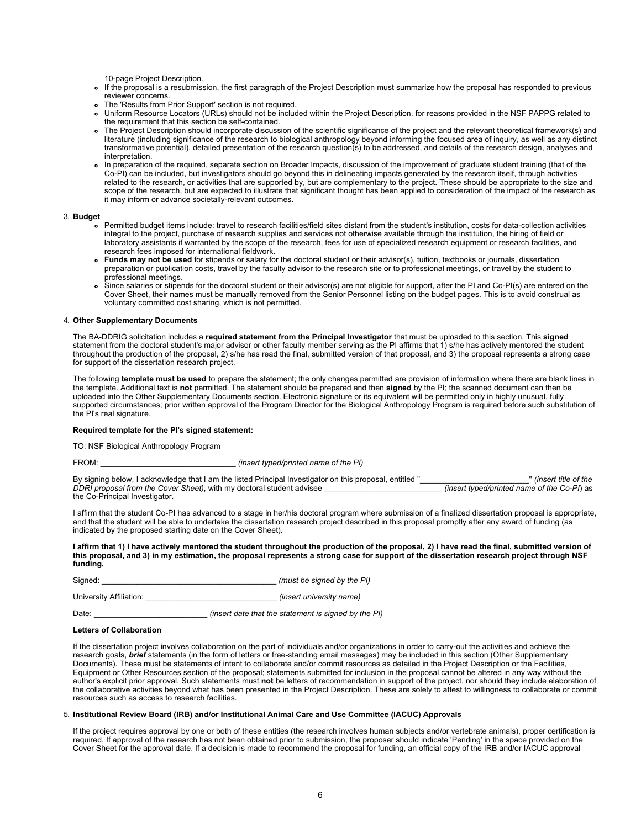10-page Project Description.

- If the proposal is a resubmission, the first paragraph of the Project Description must summarize how the proposal has responded to previous reviewer concerns.
- The 'Results from Prior Support' section is not required.  $\bullet$
- Uniform Resource Locators (URLs) should not be included within the Project Description, for reasons provided in the NSF PAPPG related to  $\bullet$ the requirement that this section be self-contained.
- The Project Description should incorporate discussion of the scientific significance of the project and the relevant theoretical framework(s) and  $\bullet$ literature (including significance of the research to biological anthropology beyond informing the focused area of inquiry, as well as any distinct transformative potential), detailed presentation of the research question(s) to be addressed, and details of the research design, analyses and interpretation.
- In preparation of the required, separate section on Broader Impacts, discussion of the improvement of graduate student training (that of the Co-PI) can be included, but investigators should go beyond this in delineating impacts generated by the research itself, through activities related to the research, or activities that are supported by, but are complementary to the project. These should be appropriate to the size and scope of the research, but are expected to illustrate that significant thought has been applied to consideration of the impact of the research as it may inform or advance societally-relevant outcomes.

#### 3. **Budget**

- Permitted budget items include: travel to research facilities/field sites distant from the student's institution, costs for data-collection activities integral to the project, purchase of research supplies and services not otherwise available through the institution, the hiring of field or laboratory assistants if warranted by the scope of the research, fees for use of specialized research equipment or research facilities, and research fees imposed for international fieldwork.
- **Funds may not be used** for stipends or salary for the doctoral student or their advisor(s), tuition, textbooks or journals, dissertation preparation or publication costs, travel by the faculty advisor to the research site or to professional meetings, or travel by the student to professional meetings.
- Since salaries or stipends for the doctoral student or their advisor(s) are not eligible for support, after the PI and Co-PI(s) are entered on the Cover Sheet, their names must be manually removed from the Senior Personnel listing on the budget pages. This is to avoid construal as voluntary committed cost sharing, which is not permitted.

#### 4. **Other Supplementary Documents**

The BA-DDRIG solicitation includes a **required statement from the Principal Investigator** that must be uploaded to this section. This **signed** statement from the doctoral student's major advisor or other faculty member serving as the PI affirms that 1) s/he has actively mentored the student throughout the production of the proposal, 2) s/he has read the final, submitted version of that proposal, and 3) the proposal represents a strong case for support of the dissertation research project.

The following **template must be used** to prepare the statement; the only changes permitted are provision of information where there are blank lines in the template. Additional text is **not** permitted. The statement should be prepared and then **signed** by the PI; the scanned document can then be uploaded into the Other Supplementary Documents section. Electronic signature or its equivalent will be permitted only in highly unusual, fully supported circumstances; prior written approval of the Program Director for the Biological Anthropology Program is required before such substitution of the PI's real signature.

#### **Required template for the PI's signed statement:**

TO: NSF Biological Anthropology Program

FROM: \_\_\_\_\_\_\_\_\_\_\_\_\_\_\_\_\_\_\_\_\_\_\_\_\_\_\_\_\_\_\_ *(insert typed/printed name of the PI)*

| " By signing below, I acknowledge that I am the listed Principal Investigator on this proposal, entitled | " (insert title of the                      |
|----------------------------------------------------------------------------------------------------------|---------------------------------------------|
| DDRI proposal from the Cover Sheet), with my doctoral student advisee                                    | (insert typed/printed name of the Co-PI) as |
| the Co-Principal Investigator.                                                                           |                                             |

I affirm that the student Co-PI has advanced to a stage in her/his doctoral program where submission of a finalized dissertation proposal is appropriate, and that the student will be able to undertake the dissertation research project described in this proposal promptly after any award of funding (as indicated by the proposed starting date on the Cover Sheet).

#### **I affirm that 1) I have actively mentored the student throughout the production of the proposal, 2) I have read the final, submitted version of this proposal, and 3) in my estimation, the proposal represents a strong case for support of the dissertation research project through NSF funding.**

| Signed: | (must be signed by the PI) |
|---------|----------------------------|
|         |                            |

University Affiliation:  $($ insert university name)

Date: \_\_\_\_\_\_\_\_\_\_\_\_\_\_\_\_\_\_\_\_\_\_\_\_\_\_\_\_\_\_\_\_\_*(insert date that the statement is signed by the PI)* 

#### **Letters of Collaboration**

If the dissertation project involves collaboration on the part of individuals and/or organizations in order to carry-out the activities and achieve the research goals, *brief* statements (in the form of letters or free-standing email messages) may be included in this section (Other Supplementary Documents). These must be statements of intent to collaborate and/or commit resources as detailed in the Project Description or the Facilities, Equipment or Other Resources section of the proposal; statements submitted for inclusion in the proposal cannot be altered in any way without the author's explicit prior approval. Such statements must **not** be letters of recommendation in support of the project, nor should they include elaboration of the collaborative activities beyond what has been presented in the Project Description. These are solely to attest to willingness to collaborate or commit resources such as access to research facilities.

#### 5. **Institutional Review Board (IRB) and/or Institutional Animal Care and Use Committee (IACUC) Approvals**

If the project requires approval by one or both of these entities (the research involves human subjects and/or vertebrate animals), proper certification is required. If approval of the research has not been obtained prior to submission, the proposer should indicate 'Pending' in the space provided on the Cover Sheet for the approval date. If a decision is made to recommend the proposal for funding, an official copy of the IRB and/or IACUC approval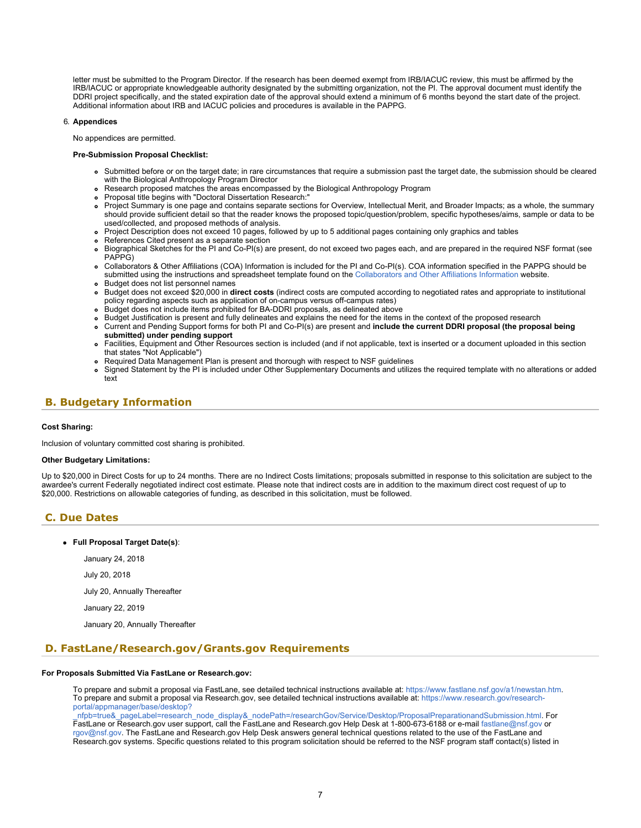<span id="page-6-1"></span>letter must be submitted to the Program Director. If the research has been deemed exempt from IRB/IACUC review, this must be affirmed by the IRB/IACUC or appropriate knowledgeable authority designated by the submitting organization, not the PI. The approval document must identify the DDRI project specifically, and the stated expiration date of the approval should extend a minimum of 6 months beyond the start date of the project. Additional information about IRB and IACUC policies and procedures is available in the PAPPG.

#### 6. **Appendices**

No appendices are permitted.

#### **Pre-Submission Proposal Checklist:**

- Submitted before or on the target date; in rare circumstances that require a submission past the target date, the submission should be cleared with the Biological Anthropology Program Director
- Research proposed matches the areas encompassed by the Biological Anthropology Program
- Proposal title begins with "Doctoral Dissertation Research:"
- Project Summary is one page and contains separate sections for Overview, Intellectual Merit, and Broader Impacts; as a whole, the summary should provide sufficient detail so that the reader knows the proposed topic/question/problem, specific hypotheses/aims, sample or data to be used/collected, and proposed methods of analysis.
- Project Description does not exceed 10 pages, followed by up to 5 additional pages containing only graphics and tables
- References Cited present as a separate section
- Biographical Sketches for the PI and Co-PI(s) are present, do not exceed two pages each, and are prepared in the required NSF format (see PAPPG)
- Collaborators & Other Affiliations (COA) Information is included for the PI and Co-PI(s). COA information specified in the PAPPG should be submitted using the instructions and spreadsheet template found on the [Collaborators and Other Affiliations Information](https://www.nsf.gov/bfa/dias/policy/coa.jsp) website.
- Budget does not list personnel names
- Budget does not exceed \$20,000 in **direct costs** (indirect costs are computed according to negotiated rates and appropriate to institutional policy regarding aspects such as application of on-campus versus off-campus rates)
- o Budget does not include items prohibited for BA-DDRI proposals, as delineated above
- Budget Justification is present and fully delineates and explains the need for the items in the context of the proposed research
- Current and Pending Support forms for both PI and Co-PI(s) are present and **include the current DDRI proposal (the proposal being submitted) under pending support**
- Facilities, Equipment and Other Resources section is included (and if not applicable, text is inserted or a document uploaded in this section that states "Not Applicable")
- Required Data Management Plan is present and thorough with respect to NSF guidelines
- Signed Statement by the PI is included under Other Supplementary Documents and utilizes the required template with no alterations or added text

### <span id="page-6-0"></span> **B. Budgetary Information**

#### **Cost Sharing:**

Inclusion of voluntary committed cost sharing is prohibited.

#### **Other Budgetary Limitations:**

Up to \$20,000 in Direct Costs for up to 24 months. There are no Indirect Costs limitations; proposals submitted in response to this solicitation are subject to the awardee's current Federally negotiated indirect cost estimate. Please note that indirect costs are in addition to the maximum direct cost request of up to \$20,000. Restrictions on allowable categories of funding, as described in this solicitation, must be followed.

### **C. Due Dates**

- **Full Proposal Target Date(s)**:
	- January 24, 2018
	- July 20, 2018
	- July 20, Annually Thereafter
	- January 22, 2019
	- January 20, Annually Thereafter

### <span id="page-6-2"></span> **D. FastLane/Research.gov/Grants.gov Requirements**

#### **For Proposals Submitted Via FastLane or Research.gov:**

To prepare and submit a proposal via FastLane, see detailed technical instructions available at: <https://www.fastlane.nsf.gov/a1/newstan.htm>. To prepare and submit a proposal via Research.gov, see detailed technical instructions available at: [https://www.research.gov/research](https://www.research.gov/research-portal/appmanager/base/desktop?_nfpb=true&_pageLabel=research_node_display&_nodePath=/researchGov/Service/Desktop/ProposalPreparationandSubmission.html)[portal/appmanager/base/desktop?](https://www.research.gov/research-portal/appmanager/base/desktop?_nfpb=true&_pageLabel=research_node_display&_nodePath=/researchGov/Service/Desktop/ProposalPreparationandSubmission.html)

[\\_nfpb=true&\\_pageLabel=research\\_node\\_display&\\_nodePath=/researchGov/Service/Desktop/ProposalPreparationandSubmission.html](https://www.research.gov/research-portal/appmanager/base/desktop?_nfpb=true&_pageLabel=research_node_display&_nodePath=/researchGov/Service/Desktop/ProposalPreparationandSubmission.html). For FastLane or Research.gov user support, call the FastLane and Research.gov Help Desk at 1-800-673-6188 or e-mail [fastlane@nsf.gov](mailto:fastlane@nsf.gov) or [rgov@nsf.gov](mailto:rgov@nsf.gov). The FastLane and Research.gov Help Desk answers general technical questions related to the use of the FastLane and Research.gov systems. Specific questions related to this program solicitation should be referred to the NSF program staff contact(s) listed in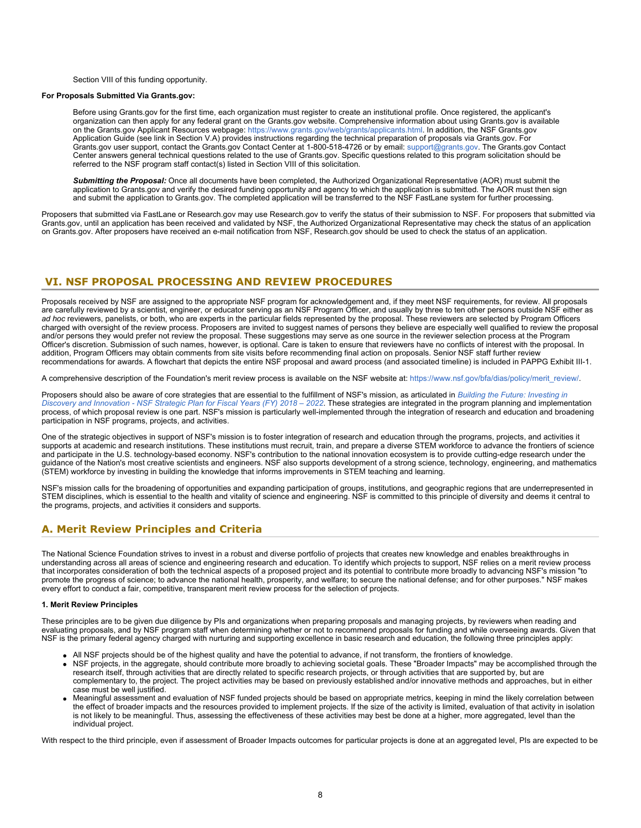Section VIII of this funding opportunity.

#### **For Proposals Submitted Via Grants.gov:**

Before using Grants.gov for the first time, each organization must register to create an institutional profile. Once registered, the applicant's organization can then apply for any federal grant on the Grants.gov website. Comprehensive information about using Grants.gov is available on the Grants.gov Applicant Resources webpage:<https://www.grants.gov/web/grants/applicants.html>. In addition, the NSF Grants.gov Application Guide (see link in Section V.A) provides instructions regarding the technical preparation of proposals via Grants.gov. For Grants.gov user support, contact the Grants.gov Contact Center at 1-800-518-4726 or by email: [support@grants.gov.](mailto:support@grants.gov) The Grants.gov Contact Center answers general technical questions related to the use of Grants.gov. Specific questions related to this program solicitation should be referred to the NSF program staff contact(s) listed in Section VIII of this solicitation.

*Submitting the Proposal:* Once all documents have been completed, the Authorized Organizational Representative (AOR) must submit the application to Grants.gov and verify the desired funding opportunity and agency to which the application is submitted. The AOR must then sign and submit the application to Grants.gov. The completed application will be transferred to the NSF FastLane system for further processing.

Proposers that submitted via FastLane or Research.gov may use Research.gov to verify the status of their submission to NSF. For proposers that submitted via Grants.gov, until an application has been received and validated by NSF, the Authorized Organizational Representative may check the status of an application on Grants.gov. After proposers have received an e-mail notification from NSF, Research.gov should be used to check the status of an application.

### <span id="page-7-0"></span>**VI. NSF PROPOSAL PROCESSING AND REVIEW PROCEDURES**

Proposals received by NSF are assigned to the appropriate NSF program for acknowledgement and, if they meet NSF requirements, for review. All proposals are carefully reviewed by a scientist, engineer, or educator serving as an NSF Program Officer, and usually by three to ten other persons outside NSF either as *ad hoc* reviewers, panelists, or both, who are experts in the particular fields represented by the proposal. These reviewers are selected by Program Officers charged with oversight of the review process. Proposers are invited to suggest names of persons they believe are especially well qualified to review the proposal and/or persons they would prefer not review the proposal. These suggestions may serve as one source in the reviewer selection process at the Program Officer's discretion. Submission of such names, however, is optional. Care is taken to ensure that reviewers have no conflicts of interest with the proposal. In addition, Program Officers may obtain comments from site visits before recommending final action on proposals. Senior NSF staff further review recommendations for awards. A flowchart that depicts the entire NSF proposal and award process (and associated timeline) is included in PAPPG Exhibit III-1.

A comprehensive description of the Foundation's merit review process is available on the NSF website at: [https://www.nsf.gov/bfa/dias/policy/merit\\_review/](https://www.nsf.gov/bfa/dias/policy/merit_review/).

Proposers should also be aware of core strategies that are essential to the fulfillment of NSF's mission, as articulated in *[Building the Future: Investing in](https://www.nsf.gov/publications/pub_summ.jsp?ods_key=nsf18045) [Discovery and Innovation - NSF Strategic Plan for Fiscal Years \(FY\) 2018 – 2022](https://www.nsf.gov/publications/pub_summ.jsp?ods_key=nsf18045)*. These strategies are integrated in the program planning and implementation process, of which proposal review is one part. NSF's mission is particularly well-implemented through the integration of research and education and broadening participation in NSF programs, projects, and activities.

One of the strategic objectives in support of NSF's mission is to foster integration of research and education through the programs, projects, and activities it supports at academic and research institutions. These institutions must recruit, train, and prepare a diverse STEM workforce to advance the frontiers of science and participate in the U.S. technology-based economy. NSF's contribution to the national innovation ecosystem is to provide cutting-edge research under the guidance of the Nation's most creative scientists and engineers. NSF also supports development of a strong science, technology, engineering, and mathematics (STEM) workforce by investing in building the knowledge that informs improvements in STEM teaching and learning.

NSF's mission calls for the broadening of opportunities and expanding participation of groups, institutions, and geographic regions that are underrepresented in STEM disciplines, which is essential to the health and vitality of science and engineering. NSF is committed to this principle of diversity and deems it central to the programs, projects, and activities it considers and supports.

### <span id="page-7-1"></span>**A. Merit Review Principles and Criteria**

The National Science Foundation strives to invest in a robust and diverse portfolio of projects that creates new knowledge and enables breakthroughs in understanding across all areas of science and engineering research and education. To identify which projects to support, NSF relies on a merit review process that incorporates consideration of both the technical aspects of a proposed project and its potential to contribute more broadly to advancing NSF's mission "to promote the progress of science; to advance the national health, prosperity, and welfare; to secure the national defense; and for other purposes." NSF makes every effort to conduct a fair, competitive, transparent merit review process for the selection of projects.

#### **1. Merit Review Principles**

These principles are to be given due diligence by PIs and organizations when preparing proposals and managing projects, by reviewers when reading and evaluating proposals, and by NSF program staff when determining whether or not to recommend proposals for funding and while overseeing awards. Given that NSF is the primary federal agency charged with nurturing and supporting excellence in basic research and education, the following three principles apply:

- All NSF projects should be of the highest quality and have the potential to advance, if not transform, the frontiers of knowledge.
- NSF projects, in the aggregate, should contribute more broadly to achieving societal goals. These "Broader Impacts" may be accomplished through the research itself, through activities that are directly related to specific research projects, or through activities that are supported by, but are complementary to, the project. The project activities may be based on previously established and/or innovative methods and approaches, but in either case must be well justified.
- Meaningful assessment and evaluation of NSF funded projects should be based on appropriate metrics, keeping in mind the likely correlation between the effect of broader impacts and the resources provided to implement projects. If the size of the activity is limited, evaluation of that activity in isolation is not likely to be meaningful. Thus, assessing the effectiveness of these activities may best be done at a higher, more aggregated, level than the individual project.

With respect to the third principle, even if assessment of Broader Impacts outcomes for particular projects is done at an aggregated level, PIs are expected to be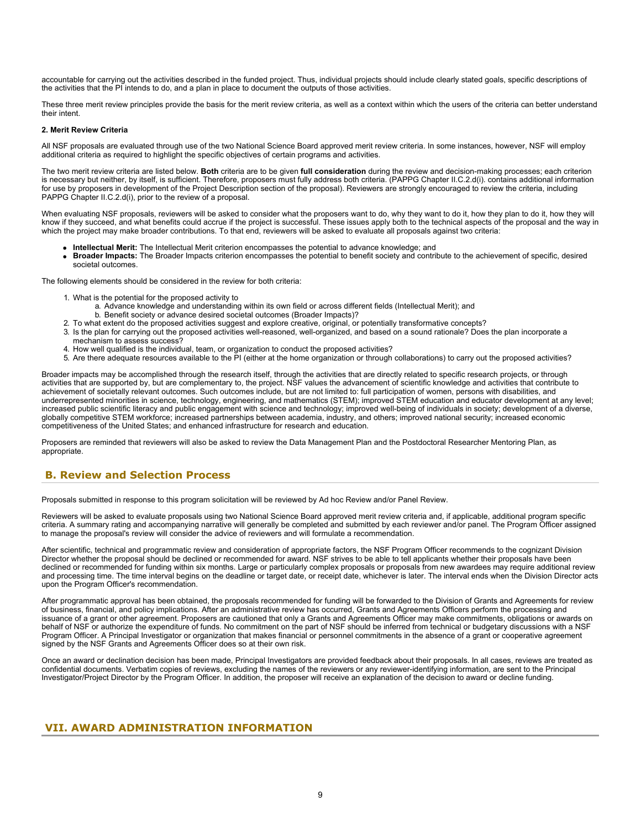accountable for carrying out the activities described in the funded project. Thus, individual projects should include clearly stated goals, specific descriptions of the activities that the PI intends to do, and a plan in place to document the outputs of those activities.

These three merit review principles provide the basis for the merit review criteria, as well as a context within which the users of the criteria can better understand their intent.

#### **2. Merit Review Criteria**

All NSF proposals are evaluated through use of the two National Science Board approved merit review criteria. In some instances, however, NSF will employ additional criteria as required to highlight the specific objectives of certain programs and activities.

The two merit review criteria are listed below. **Both** criteria are to be given **full consideration** during the review and decision-making processes; each criterion is necessary but neither, by itself, is sufficient. Therefore, proposers must fully address both criteria. (PAPPG Chapter II.C.2.d(i). contains additional information for use by proposers in development of the Project Description section of the proposal). Reviewers are strongly encouraged to review the criteria, including PAPPG Chapter II.C.2.d(i), prior to the review of a proposal.

When evaluating NSF proposals, reviewers will be asked to consider what the proposers want to do, why they want to do it, how they plan to do it, how they will know if they succeed, and what benefits could accrue if the project is successful. These issues apply both to the technical aspects of the proposal and the way in which the project may make broader contributions. To that end, reviewers will be asked to evaluate all proposals against two criteria:

- **Intellectual Merit:** The Intellectual Merit criterion encompasses the potential to advance knowledge; and
- **Broader Impacts:** The Broader Impacts criterion encompasses the potential to benefit society and contribute to the achievement of specific, desired societal outcomes.

The following elements should be considered in the review for both criteria:

- 1. What is the potential for the proposed activity to
	- a. Advance knowledge and understanding within its own field or across different fields (Intellectual Merit); and
	- b. Benefit society or advance desired societal outcomes (Broader Impacts)?
- 2. To what extent do the proposed activities suggest and explore creative, original, or potentially transformative concepts?
- 3. Is the plan for carrying out the proposed activities well-reasoned, well-organized, and based on a sound rationale? Does the plan incorporate a mechanism to assess success?
- 4. How well qualified is the individual, team, or organization to conduct the proposed activities?
- 5. Are there adequate resources available to the PI (either at the home organization or through collaborations) to carry out the proposed activities?

Broader impacts may be accomplished through the research itself, through the activities that are directly related to specific research projects, or through activities that are supported by, but are complementary to, the project. NSF values the advancement of scientific knowledge and activities that contribute to achievement of societally relevant outcomes. Such outcomes include, but are not limited to: full participation of women, persons with disabilities, and underrepresented minorities in science, technology, engineering, and mathematics (STEM); improved STEM education and educator development at any level; increased public scientific literacy and public engagement with science and technology; improved well-being of individuals in society; development of a diverse, globally competitive STEM workforce; increased partnerships between academia, industry, and others; improved national security; increased economic competitiveness of the United States; and enhanced infrastructure for research and education.

Proposers are reminded that reviewers will also be asked to review the Data Management Plan and the Postdoctoral Researcher Mentoring Plan, as appropriate.

### <span id="page-8-0"></span>**B. Review and Selection Process**

Proposals submitted in response to this program solicitation will be reviewed by Ad hoc Review and/or Panel Review.

Reviewers will be asked to evaluate proposals using two National Science Board approved merit review criteria and, if applicable, additional program specific criteria. A summary rating and accompanying narrative will generally be completed and submitted by each reviewer and/or panel. The Program Officer assigned to manage the proposal's review will consider the advice of reviewers and will formulate a recommendation.

After scientific, technical and programmatic review and consideration of appropriate factors, the NSF Program Officer recommends to the cognizant Division Director whether the proposal should be declined or recommended for award. NSF strives to be able to tell applicants whether their proposals have been declined or recommended for funding within six months. Large or particularly complex proposals or proposals from new awardees may require additional review and processing time. The time interval begins on the deadline or target date, or receipt date, whichever is later. The interval ends when the Division Director acts upon the Program Officer's recommendation.

After programmatic approval has been obtained, the proposals recommended for funding will be forwarded to the Division of Grants and Agreements for review of business, financial, and policy implications. After an administrative review has occurred, Grants and Agreements Officers perform the processing and issuance of a grant or other agreement. Proposers are cautioned that only a Grants and Agreements Officer may make commitments, obligations or awards on behalf of NSF or authorize the expenditure of funds. No commitment on the part of NSF should be inferred from technical or budgetary discussions with a NSF Program Officer. A Principal Investigator or organization that makes financial or personnel commitments in the absence of a grant or cooperative agreement signed by the NSF Grants and Agreements Officer does so at their own risk.

Once an award or declination decision has been made, Principal Investigators are provided feedback about their proposals. In all cases, reviews are treated as confidential documents. Verbatim copies of reviews, excluding the names of the reviewers or any reviewer-identifying information, are sent to the Principal Investigator/Project Director by the Program Officer. In addition, the proposer will receive an explanation of the decision to award or decline funding.

### <span id="page-8-1"></span> **VII. AWARD ADMINISTRATION INFORMATION**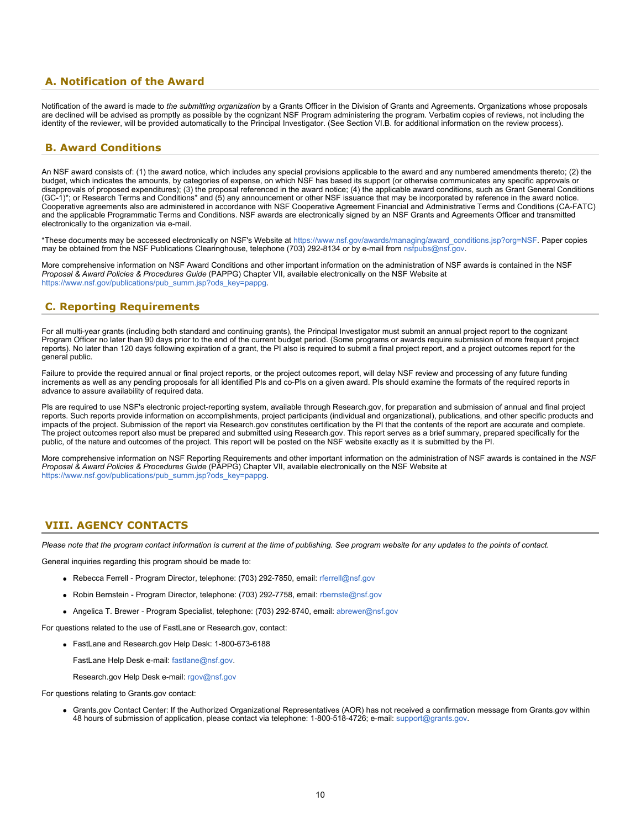### <span id="page-9-0"></span>**A. Notification of the Award**

Notification of the award is made to *the submitting organization* by a Grants Officer in the Division of Grants and Agreements. Organizations whose proposals are declined will be advised as promptly as possible by the cognizant NSF Program administering the program. Verbatim copies of reviews, not including the identity of the reviewer, will be provided automatically to the Principal Investigator. (See Section VI.B. for additional information on the review process).

### <span id="page-9-1"></span>**B. Award Conditions**

An NSF award consists of: (1) the award notice, which includes any special provisions applicable to the award and any numbered amendments thereto; (2) the budget, which indicates the amounts, by categories of expense, on which NSF has based its support (or otherwise communicates any specific approvals or disapprovals of proposed expenditures); (3) the proposal referenced in the award notice; (4) the applicable award conditions, such as Grant General Conditions (GC-1)\*; or Research Terms and Conditions\* and (5) any announcement or other NSF issuance that may be incorporated by reference in the award notice. Cooperative agreements also are administered in accordance with NSF Cooperative Agreement Financial and Administrative Terms and Conditions (CA-FATC) and the applicable Programmatic Terms and Conditions. NSF awards are electronically signed by an NSF Grants and Agreements Officer and transmitted electronically to the organization via e-mail.

\*These documents may be accessed electronically on NSF's Website at [https://www.nsf.gov/awards/managing/award\\_conditions.jsp?org=NSF](https://www.nsf.gov/awards/managing/award_conditions.jsp?org=NSF). Paper copies may be obtained from the NSF Publications Clearinghouse, telephone (703) 292-8134 or by e-mail from [nsfpubs@nsf.gov.](mailto:nsfpubs@nsf.gov)

More comprehensive information on NSF Award Conditions and other important information on the administration of NSF awards is contained in the NSF *Proposal & Award Policies & Procedures Guide* (PAPPG) Chapter VII, available electronically on the NSF Website at [https://www.nsf.gov/publications/pub\\_summ.jsp?ods\\_key=pappg.](https://www.nsf.gov/publications/pub_summ.jsp?ods_key=pappg)

# <span id="page-9-2"></span>**C. Reporting Requirements**

For all multi-year grants (including both standard and continuing grants), the Principal Investigator must submit an annual project report to the cognizant Program Officer no later than 90 days prior to the end of the current budget period. (Some programs or awards require submission of more frequent project reports). No later than 120 days following expiration of a grant, the PI also is required to submit a final project report, and a project outcomes report for the general public.

Failure to provide the required annual or final project reports, or the project outcomes report, will delay NSF review and processing of any future funding increments as well as any pending proposals for all identified PIs and co-PIs on a given award. PIs should examine the formats of the required reports in advance to assure availability of required data.

PIs are required to use NSF's electronic project-reporting system, available through Research.gov, for preparation and submission of annual and final project reports. Such reports provide information on accomplishments, project participants (individual and organizational), publications, and other specific products and impacts of the project. Submission of the report via Research.gov constitutes certification by the PI that the contents of the report are accurate and complete. The project outcomes report also must be prepared and submitted using Research.gov. This report serves as a brief summary, prepared specifically for the public, of the nature and outcomes of the project. This report will be posted on the NSF website exactly as it is submitted by the PI.

More comprehensive information on NSF Reporting Requirements and other important information on the administration of NSF awards is contained in the *NSF Proposal & Award Policies & Procedures Guide* (PAPPG) Chapter VII, available electronically on the NSF Website at [https://www.nsf.gov/publications/pub\\_summ.jsp?ods\\_key=pappg.](https://www.nsf.gov/publications/pub_summ.jsp?ods_key=pappg)

### <span id="page-9-3"></span>**VIII. AGENCY CONTACTS**

*Please note that the program contact information is current at the time of publishing. See program website for any updates to the points of contact.*

General inquiries regarding this program should be made to:

- Rebecca Ferrell Program Director, telephone: (703) 292-7850, email: [rferrell@nsf.gov](mailto:rferrell@nsf.gov)
- Robin Bernstein Program Director, telephone: (703) 292-7758, email: [rbernste@nsf.gov](mailto:rbernste@nsf.gov)
- Angelica T. Brewer Program Specialist, telephone: (703) 292-8740, email: [abrewer@nsf.gov](mailto:abrewer@nsf.gov)

For questions related to the use of FastLane or Research.gov, contact:

- FastLane and Research.gov Help Desk: 1-800-673-6188
	- FastLane Help Desk e-mail: [fastlane@nsf.gov](mailto:fastlane@nsf.gov).

Research.gov Help Desk e-mail: [rgov@nsf.gov](mailto:rgov@nsf.gov)

For questions relating to Grants.gov contact:

Grants.gov Contact Center: If the Authorized Organizational Representatives (AOR) has not received a confirmation message from Grants.gov within 48 hours of submission of application, please contact via telephone: 1-800-518-4726; e-mail: [support@grants.gov](mailto:support@grants.gov).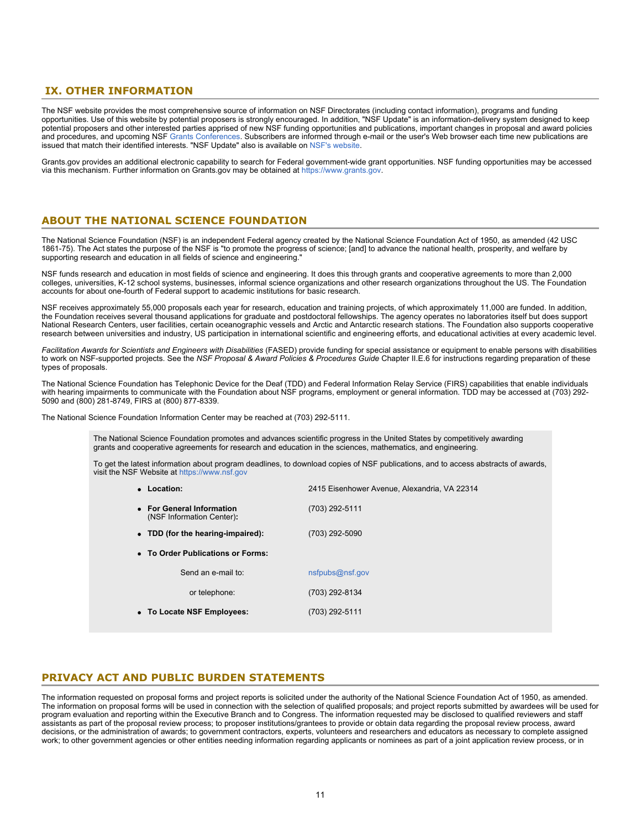# <span id="page-10-0"></span> **IX. OTHER INFORMATION**

The NSF website provides the most comprehensive source of information on NSF Directorates (including contact information), programs and funding opportunities. Use of this website by potential proposers is strongly encouraged. In addition, "NSF Update" is an information-delivery system designed to keep potential proposers and other interested parties apprised of new NSF funding opportunities and publications, important changes in proposal and award policies and procedures, and upcoming NSF [Grants Conferences](https://www.nsf.gov/bfa/dias/policy/outreach.jsp). Subscribers are informed through e-mail or the user's Web browser each time new publications are issued that match their identified interests. "NSF Update" also is available on [NSF's website](https://www.nsf.gov/cgi-bin/goodbye?https://public.govdelivery.com/accounts/USNSF/subscriber/new?topic_id=USNSF_179).

Grants.gov provides an additional electronic capability to search for Federal government-wide grant opportunities. NSF funding opportunities may be accessed via this mechanism. Further information on Grants.gov may be obtained at [https://www.grants.gov](https://www.grants.gov/).

### **ABOUT THE NATIONAL SCIENCE FOUNDATION**

The National Science Foundation (NSF) is an independent Federal agency created by the National Science Foundation Act of 1950, as amended (42 USC 1861-75). The Act states the purpose of the NSF is "to promote the progress of science; [and] to advance the national health, prosperity, and welfare by supporting research and education in all fields of science and engineering."

NSF funds research and education in most fields of science and engineering. It does this through grants and cooperative agreements to more than 2,000 colleges, universities, K-12 school systems, businesses, informal science organizations and other research organizations throughout the US. The Foundation accounts for about one-fourth of Federal support to academic institutions for basic research.

NSF receives approximately 55,000 proposals each year for research, education and training projects, of which approximately 11,000 are funded. In addition, the Foundation receives several thousand applications for graduate and postdoctoral fellowships. The agency operates no laboratories itself but does support National Research Centers, user facilities, certain oceanographic vessels and Arctic and Antarctic research stations. The Foundation also supports cooperative research between universities and industry, US participation in international scientific and engineering efforts, and educational activities at every academic level.

*Facilitation Awards for Scientists and Engineers with Disabilities* (FASED) provide funding for special assistance or equipment to enable persons with disabilities to work on NSF-supported projects. See the *NSF Proposal & Award Policies & Procedures Guide* Chapter II.E.6 for instructions regarding preparation of these types of proposals.

The National Science Foundation has Telephonic Device for the Deaf (TDD) and Federal Information Relay Service (FIRS) capabilities that enable individuals with hearing impairments to communicate with the Foundation about NSF programs, employment or general information. TDD may be accessed at (703) 292- 5090 and (800) 281-8749, FIRS at (800) 877-8339.

The National Science Foundation Information Center may be reached at (703) 292-5111.

The National Science Foundation promotes and advances scientific progress in the United States by competitively awarding grants and cooperative agreements for research and education in the sciences, mathematics, and engineering.

To get the latest information about program deadlines, to download copies of NSF publications, and to access abstracts of awards, visit the NSF Website at [https://www.nsf.gov](https://www.nsf.gov/)

| • Location:                                            | 2415 Eisenhower Avenue, Alexandria, VA 22314 |  |  |  |
|--------------------------------------------------------|----------------------------------------------|--|--|--|
| • For General Information<br>(NSF Information Center): | (703) 292-5111                               |  |  |  |
| • TDD (for the hearing-impaired):                      | (703) 292-5090                               |  |  |  |
| • To Order Publications or Forms:                      |                                              |  |  |  |
| Send an e-mail to:                                     | nsfpubs@nsf.gov                              |  |  |  |
| or telephone:                                          | (703) 292-8134                               |  |  |  |
| • To Locate NSF Employees:                             | (703) 292-5111                               |  |  |  |
|                                                        |                                              |  |  |  |

# **PRIVACY ACT AND PUBLIC BURDEN STATEMENTS**

The information requested on proposal forms and project reports is solicited under the authority of the National Science Foundation Act of 1950, as amended. The information on proposal forms will be used in connection with the selection of qualified proposals; and project reports submitted by awardees will be used for program evaluation and reporting within the Executive Branch and to Congress. The information requested may be disclosed to qualified reviewers and staff assistants as part of the proposal review process; to proposer institutions/grantees to provide or obtain data regarding the proposal review process, award decisions, or the administration of awards; to government contractors, experts, volunteers and researchers and educators as necessary to complete assigned work; to other government agencies or other entities needing information regarding applicants or nominees as part of a joint application review process, or in